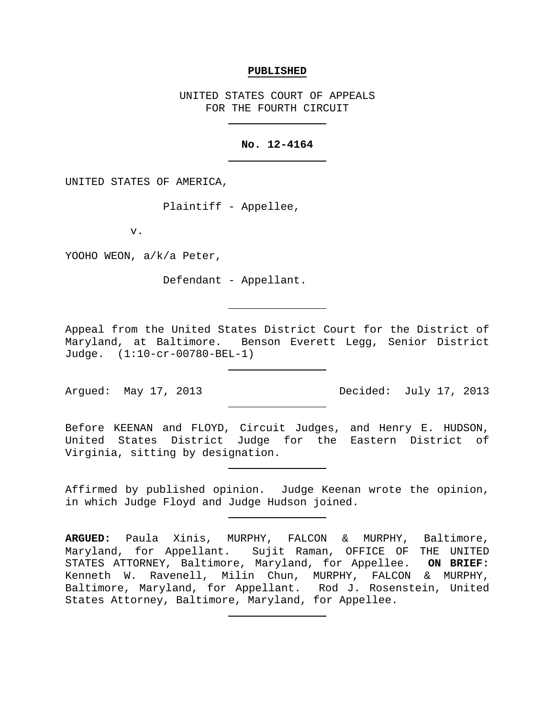#### **PUBLISHED**

UNITED STATES COURT OF APPEALS FOR THE FOURTH CIRCUIT

## **No. 12-4164**

UNITED STATES OF AMERICA,

Plaintiff - Appellee,

v.

YOOHO WEON, a/k/a Peter,

Defendant - Appellant.

Appeal from the United States District Court for the District of Maryland, at Baltimore. Benson Everett Legg, Senior District Judge. (1:10-cr-00780-BEL-1)

Argued: May 17, 2013 Decided: July 17, 2013

Before KEENAN and FLOYD, Circuit Judges, and Henry E. HUDSON, United States District Judge for the Eastern District of Virginia, sitting by designation.

Affirmed by published opinion. Judge Keenan wrote the opinion, in which Judge Floyd and Judge Hudson joined.

**ARGUED:** Paula Xinis, MURPHY, FALCON & MURPHY, Baltimore, Maryland, for Appellant. Sujit Raman, OFFICE OF THE UNITED STATES ATTORNEY, Baltimore, Maryland, for Appellee. **ON BRIEF:** Kenneth W. Ravenell, Milin Chun, MURPHY, FALCON & MURPHY, Baltimore, Maryland, for Appellant. Rod J. Rosenstein, United States Attorney, Baltimore, Maryland, for Appellee.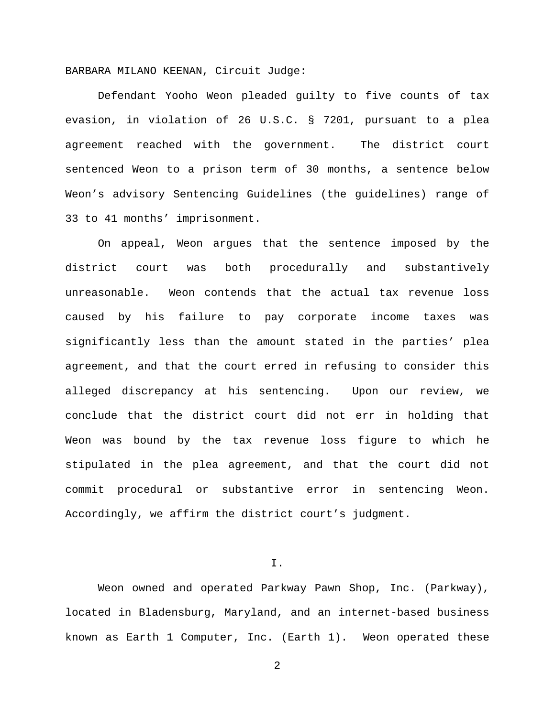BARBARA MILANO KEENAN, Circuit Judge:

Defendant Yooho Weon pleaded guilty to five counts of tax evasion, in violation of 26 U.S.C. § 7201, pursuant to a plea agreement reached with the government. The district court sentenced Weon to a prison term of 30 months, a sentence below Weon's advisory Sentencing Guidelines (the guidelines) range of 33 to 41 months' imprisonment.

On appeal, Weon argues that the sentence imposed by the district court was both procedurally and substantively unreasonable. Weon contends that the actual tax revenue loss caused by his failure to pay corporate income taxes was significantly less than the amount stated in the parties' plea agreement, and that the court erred in refusing to consider this alleged discrepancy at his sentencing. Upon our review, we conclude that the district court did not err in holding that Weon was bound by the tax revenue loss figure to which he stipulated in the plea agreement, and that the court did not commit procedural or substantive error in sentencing Weon. Accordingly, we affirm the district court's judgment.

I.

Weon owned and operated Parkway Pawn Shop, Inc. (Parkway), located in Bladensburg, Maryland, and an internet-based business known as Earth 1 Computer, Inc. (Earth 1). Weon operated these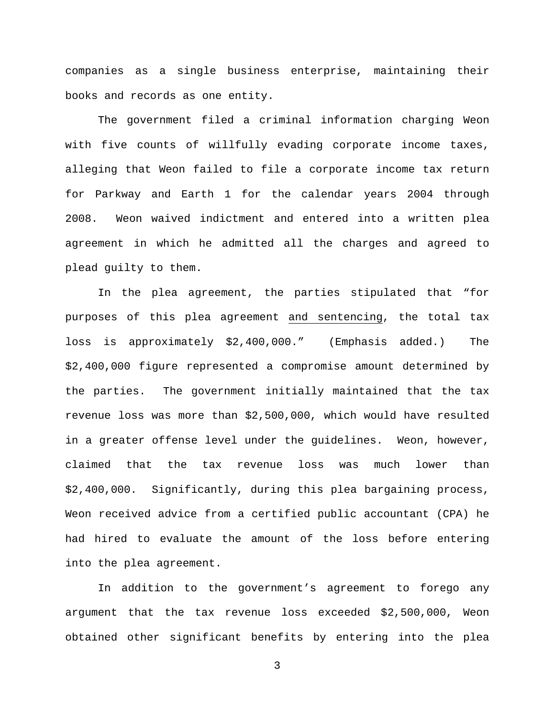companies as a single business enterprise, maintaining their books and records as one entity.

The government filed a criminal information charging Weon with five counts of willfully evading corporate income taxes, alleging that Weon failed to file a corporate income tax return for Parkway and Earth 1 for the calendar years 2004 through 2008. Weon waived indictment and entered into a written plea agreement in which he admitted all the charges and agreed to plead guilty to them.

In the plea agreement, the parties stipulated that "for purposes of this plea agreement and sentencing, the total tax loss is approximately \$2,400,000." (Emphasis added.) The \$2,400,000 figure represented a compromise amount determined by the parties. The government initially maintained that the tax revenue loss was more than \$2,500,000, which would have resulted in a greater offense level under the guidelines. Weon, however, claimed that the tax revenue loss was much lower than \$2,400,000. Significantly, during this plea bargaining process, Weon received advice from a certified public accountant (CPA) he had hired to evaluate the amount of the loss before entering into the plea agreement.

In addition to the government's agreement to forego any argument that the tax revenue loss exceeded \$2,500,000, Weon obtained other significant benefits by entering into the plea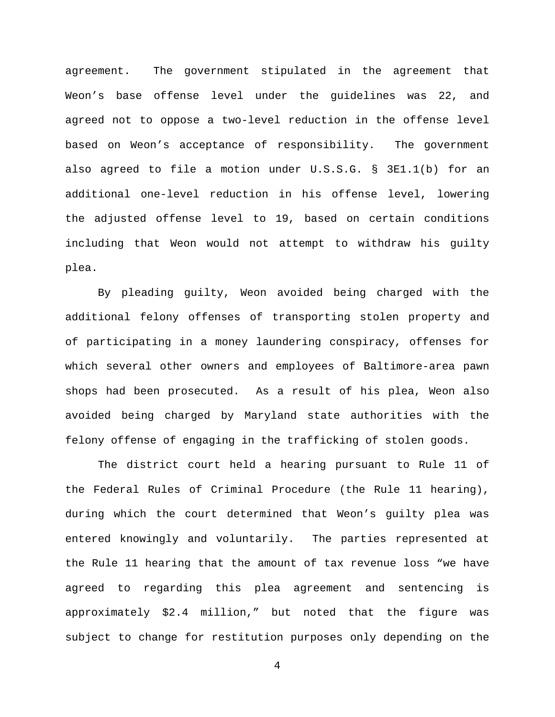agreement. The government stipulated in the agreement that Weon's base offense level under the guidelines was 22, and agreed not to oppose a two-level reduction in the offense level based on Weon's acceptance of responsibility. The government also agreed to file a motion under U.S.S.G. § 3E1.1(b) for an additional one-level reduction in his offense level, lowering the adjusted offense level to 19, based on certain conditions including that Weon would not attempt to withdraw his guilty plea.

By pleading guilty, Weon avoided being charged with the additional felony offenses of transporting stolen property and of participating in a money laundering conspiracy, offenses for which several other owners and employees of Baltimore-area pawn shops had been prosecuted. As a result of his plea, Weon also avoided being charged by Maryland state authorities with the felony offense of engaging in the trafficking of stolen goods.

The district court held a hearing pursuant to Rule 11 of the Federal Rules of Criminal Procedure (the Rule 11 hearing), during which the court determined that Weon's guilty plea was entered knowingly and voluntarily. The parties represented at the Rule 11 hearing that the amount of tax revenue loss "we have agreed to regarding this plea agreement and sentencing is approximately \$2.4 million," but noted that the figure was subject to change for restitution purposes only depending on the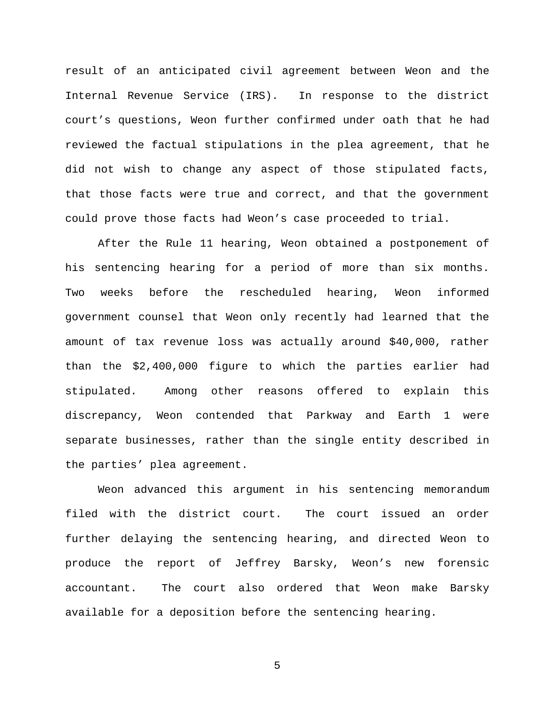result of an anticipated civil agreement between Weon and the Internal Revenue Service (IRS). In response to the district court's questions, Weon further confirmed under oath that he had reviewed the factual stipulations in the plea agreement, that he did not wish to change any aspect of those stipulated facts, that those facts were true and correct, and that the government could prove those facts had Weon's case proceeded to trial.

After the Rule 11 hearing, Weon obtained a postponement of his sentencing hearing for a period of more than six months. Two weeks before the rescheduled hearing, Weon informed government counsel that Weon only recently had learned that the amount of tax revenue loss was actually around \$40,000, rather than the \$2,400,000 figure to which the parties earlier had stipulated. Among other reasons offered to explain this discrepancy, Weon contended that Parkway and Earth 1 were separate businesses, rather than the single entity described in the parties' plea agreement.

Weon advanced this argument in his sentencing memorandum filed with the district court. The court issued an order further delaying the sentencing hearing, and directed Weon to produce the report of Jeffrey Barsky, Weon's new forensic accountant. The court also ordered that Weon make Barsky available for a deposition before the sentencing hearing.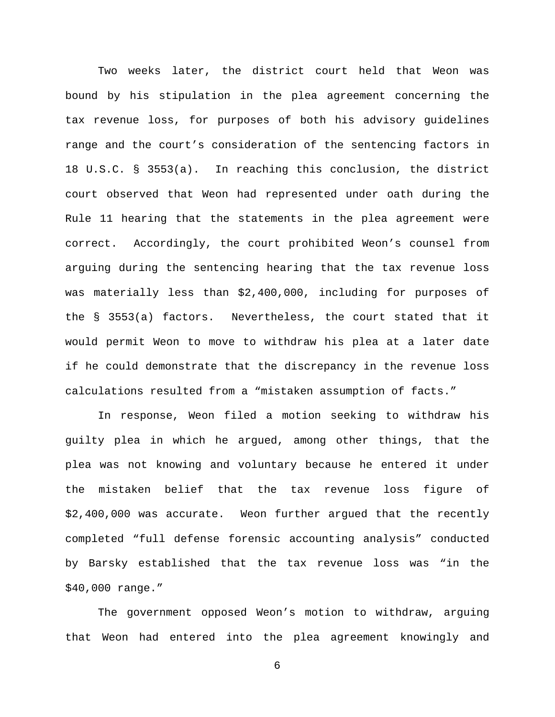Two weeks later, the district court held that Weon was bound by his stipulation in the plea agreement concerning the tax revenue loss, for purposes of both his advisory guidelines range and the court's consideration of the sentencing factors in 18 U.S.C. § 3553(a). In reaching this conclusion, the district court observed that Weon had represented under oath during the Rule 11 hearing that the statements in the plea agreement were correct. Accordingly, the court prohibited Weon's counsel from arguing during the sentencing hearing that the tax revenue loss was materially less than \$2,400,000, including for purposes of the § 3553(a) factors. Nevertheless, the court stated that it would permit Weon to move to withdraw his plea at a later date if he could demonstrate that the discrepancy in the revenue loss calculations resulted from a "mistaken assumption of facts."

In response, Weon filed a motion seeking to withdraw his guilty plea in which he argued, among other things, that the plea was not knowing and voluntary because he entered it under the mistaken belief that the tax revenue loss figure of \$2,400,000 was accurate. Weon further argued that the recently completed "full defense forensic accounting analysis" conducted by Barsky established that the tax revenue loss was "in the \$40,000 range."

The government opposed Weon's motion to withdraw, arguing that Weon had entered into the plea agreement knowingly and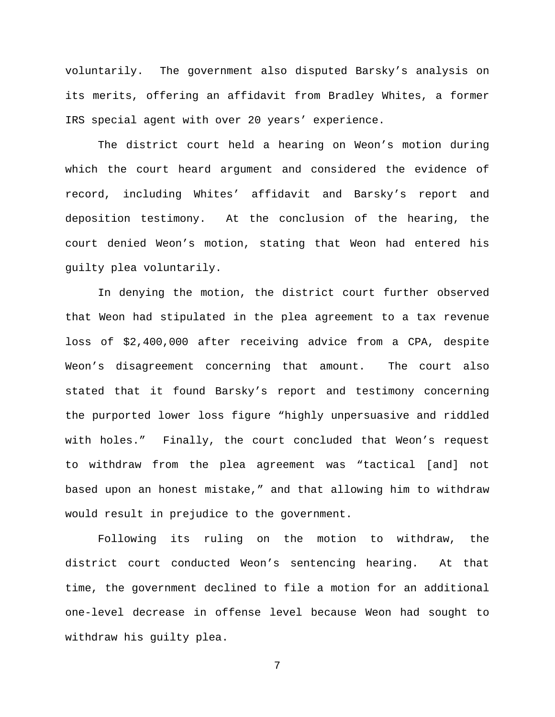voluntarily. The government also disputed Barsky's analysis on its merits, offering an affidavit from Bradley Whites, a former IRS special agent with over 20 years' experience.

The district court held a hearing on Weon's motion during which the court heard argument and considered the evidence of record, including Whites' affidavit and Barsky's report and deposition testimony. At the conclusion of the hearing, the court denied Weon's motion, stating that Weon had entered his guilty plea voluntarily.

In denying the motion, the district court further observed that Weon had stipulated in the plea agreement to a tax revenue loss of \$2,400,000 after receiving advice from a CPA, despite Weon's disagreement concerning that amount. The court also stated that it found Barsky's report and testimony concerning the purported lower loss figure "highly unpersuasive and riddled with holes." Finally, the court concluded that Weon's request to withdraw from the plea agreement was "tactical [and] not based upon an honest mistake," and that allowing him to withdraw would result in prejudice to the government.

Following its ruling on the motion to withdraw, the district court conducted Weon's sentencing hearing. At that time, the government declined to file a motion for an additional one-level decrease in offense level because Weon had sought to withdraw his guilty plea.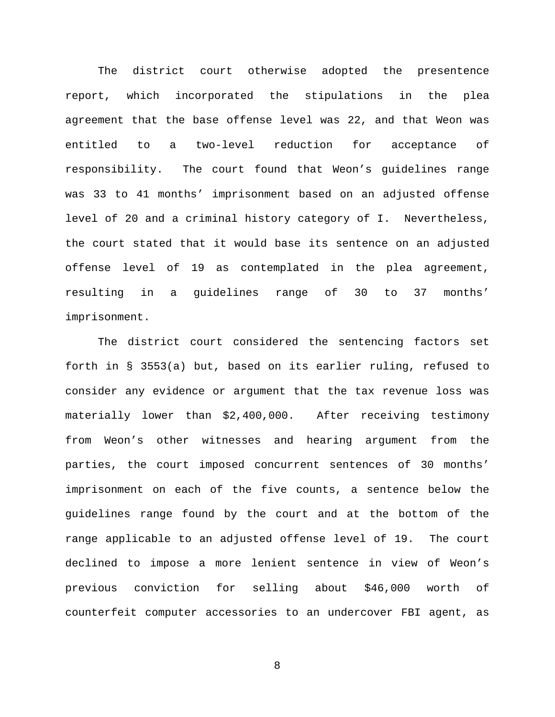The district court otherwise adopted the presentence report, which incorporated the stipulations in the plea agreement that the base offense level was 22, and that Weon was entitled to a two-level reduction for acceptance of responsibility. The court found that Weon's guidelines range was 33 to 41 months' imprisonment based on an adjusted offense level of 20 and a criminal history category of I. Nevertheless, the court stated that it would base its sentence on an adjusted offense level of 19 as contemplated in the plea agreement, resulting in a guidelines range of 30 to 37 months' imprisonment.

The district court considered the sentencing factors set forth in § 3553(a) but, based on its earlier ruling, refused to consider any evidence or argument that the tax revenue loss was materially lower than \$2,400,000. After receiving testimony from Weon's other witnesses and hearing argument from the parties, the court imposed concurrent sentences of 30 months' imprisonment on each of the five counts, a sentence below the guidelines range found by the court and at the bottom of the range applicable to an adjusted offense level of 19. The court declined to impose a more lenient sentence in view of Weon's previous conviction for selling about \$46,000 worth of counterfeit computer accessories to an undercover FBI agent, as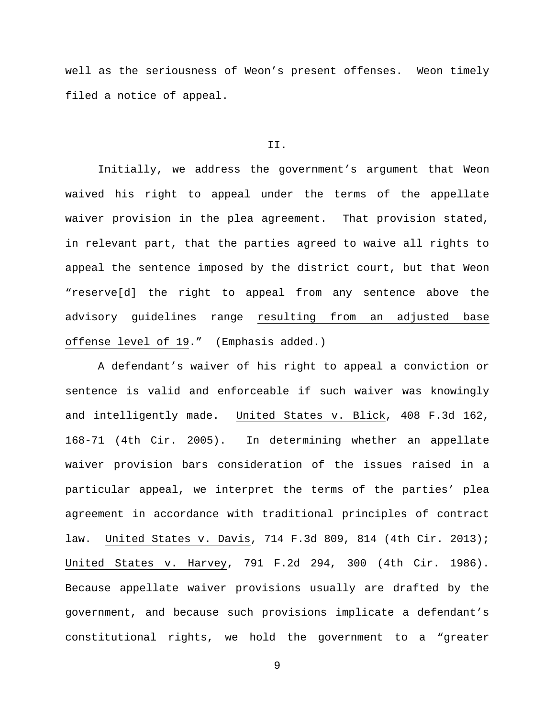well as the seriousness of Weon's present offenses. Weon timely filed a notice of appeal.

### II.

Initially, we address the government's argument that Weon waived his right to appeal under the terms of the appellate waiver provision in the plea agreement. That provision stated, in relevant part, that the parties agreed to waive all rights to appeal the sentence imposed by the district court, but that Weon "reserve[d] the right to appeal from any sentence above the advisory guidelines range resulting from an adjusted base offense level of 19." (Emphasis added.)

A defendant's waiver of his right to appeal a conviction or sentence is valid and enforceable if such waiver was knowingly and intelligently made. United States v. Blick, 408 F.3d 162, 168-71 (4th Cir. 2005). In determining whether an appellate waiver provision bars consideration of the issues raised in a particular appeal, we interpret the terms of the parties' plea agreement in accordance with traditional principles of contract law. United States v. Davis, 714 F.3d 809, 814 (4th Cir. 2013); United States v. Harvey, 791 F.2d 294, 300 (4th Cir. 1986). Because appellate waiver provisions usually are drafted by the government, and because such provisions implicate a defendant's constitutional rights, we hold the government to a "greater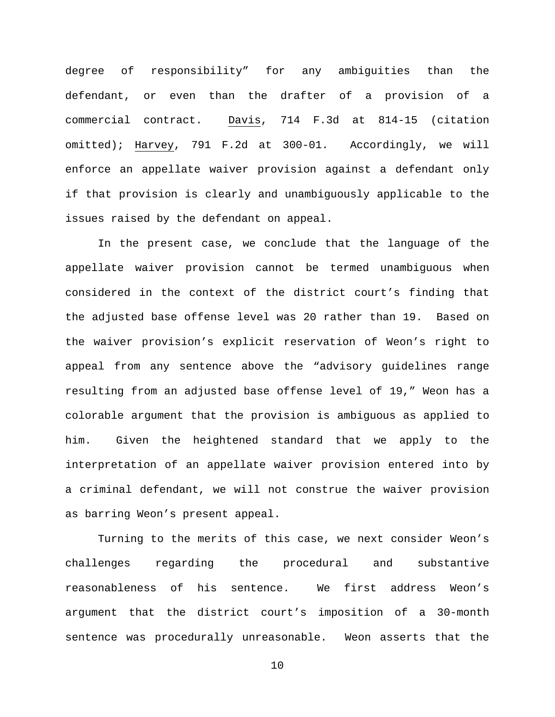degree of responsibility" for any ambiguities than the defendant, or even than the drafter of a provision of a commercial contract. Davis, 714 F.3d at 814-15 (citation omitted); Harvey, 791 F.2d at 300-01. Accordingly, we will enforce an appellate waiver provision against a defendant only if that provision is clearly and unambiguously applicable to the issues raised by the defendant on appeal.

In the present case, we conclude that the language of the appellate waiver provision cannot be termed unambiguous when considered in the context of the district court's finding that the adjusted base offense level was 20 rather than 19. Based on the waiver provision's explicit reservation of Weon's right to appeal from any sentence above the "advisory guidelines range resulting from an adjusted base offense level of 19," Weon has a colorable argument that the provision is ambiguous as applied to him. Given the heightened standard that we apply to the interpretation of an appellate waiver provision entered into by a criminal defendant, we will not construe the waiver provision as barring Weon's present appeal.

Turning to the merits of this case, we next consider Weon's challenges regarding the procedural and substantive reasonableness of his sentence. We first address Weon's argument that the district court's imposition of a 30-month sentence was procedurally unreasonable. Weon asserts that the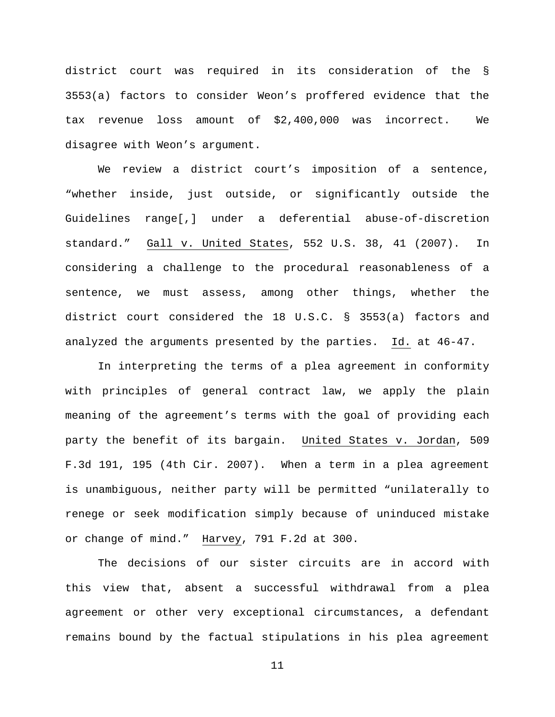district court was required in its consideration of the § 3553(a) factors to consider Weon's proffered evidence that the tax revenue loss amount of \$2,400,000 was incorrect. We disagree with Weon's argument.

We review a district court's imposition of a sentence, "whether inside, just outside, or significantly outside the Guidelines range[,] under a deferential abuse-of-discretion standard." Gall v. United States, 552 U.S. 38, 41 (2007). In considering a challenge to the procedural reasonableness of a sentence, we must assess, among other things, whether the district court considered the 18 U.S.C. § 3553(a) factors and analyzed the arguments presented by the parties. Id. at 46-47.

In interpreting the terms of a plea agreement in conformity with principles of general contract law, we apply the plain meaning of the agreement's terms with the goal of providing each party the benefit of its bargain. United States v. Jordan, 509 F.3d 191, 195 (4th Cir. 2007). When a term in a plea agreement is unambiguous, neither party will be permitted "unilaterally to renege or seek modification simply because of uninduced mistake or change of mind." Harvey, 791 F.2d at 300.

The decisions of our sister circuits are in accord with this view that, absent a successful withdrawal from a plea agreement or other very exceptional circumstances, a defendant remains bound by the factual stipulations in his plea agreement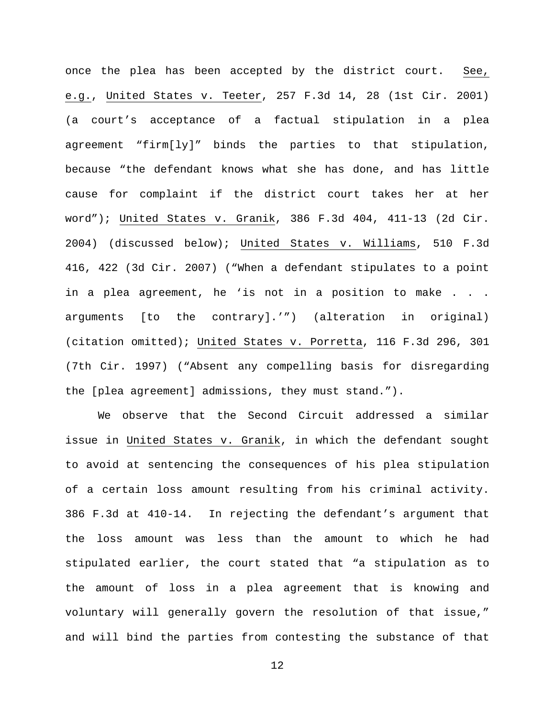once the plea has been accepted by the district court. See, e.g., United States v. Teeter, 257 F.3d 14, 28 (1st Cir. 2001) (a court's acceptance of a factual stipulation in a plea agreement "firm[ly]" binds the parties to that stipulation, because "the defendant knows what she has done, and has little cause for complaint if the district court takes her at her word"); United States v. Granik, 386 F.3d 404, 411-13 (2d Cir. 2004) (discussed below); United States v. Williams, 510 F.3d 416, 422 (3d Cir. 2007) ("When a defendant stipulates to a point in a plea agreement, he 'is not in a position to make . . . arguments [to the contrary].'") (alteration in original) (citation omitted); United States v. Porretta, 116 F.3d 296, 301 (7th Cir. 1997) ("Absent any compelling basis for disregarding the [plea agreement] admissions, they must stand.").

We observe that the Second Circuit addressed a similar issue in United States v. Granik, in which the defendant sought to avoid at sentencing the consequences of his plea stipulation of a certain loss amount resulting from his criminal activity. 386 F.3d at 410-14. In rejecting the defendant's argument that the loss amount was less than the amount to which he had stipulated earlier, the court stated that "a stipulation as to the amount of loss in a plea agreement that is knowing and voluntary will generally govern the resolution of that issue," and will bind the parties from contesting the substance of that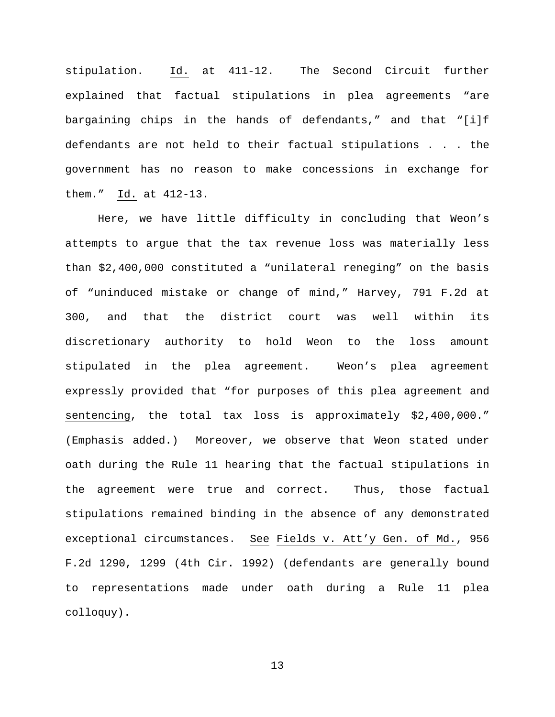stipulation. Id. at 411-12. The Second Circuit further explained that factual stipulations in plea agreements "are bargaining chips in the hands of defendants," and that "[i]f defendants are not held to their factual stipulations . . . the government has no reason to make concessions in exchange for them." Id. at 412-13.

Here, we have little difficulty in concluding that Weon's attempts to argue that the tax revenue loss was materially less than \$2,400,000 constituted a "unilateral reneging" on the basis of "uninduced mistake or change of mind," Harvey, 791 F.2d at 300, and that the district court was well within its discretionary authority to hold Weon to the loss amount stipulated in the plea agreement. Weon's plea agreement expressly provided that "for purposes of this plea agreement and sentencing, the total tax loss is approximately \$2,400,000." (Emphasis added.) Moreover, we observe that Weon stated under oath during the Rule 11 hearing that the factual stipulations in the agreement were true and correct. Thus, those factual stipulations remained binding in the absence of any demonstrated exceptional circumstances. See Fields v. Att'y Gen. of Md., 956 F.2d 1290, 1299 (4th Cir. 1992) (defendants are generally bound to representations made under oath during a Rule 11 plea colloquy).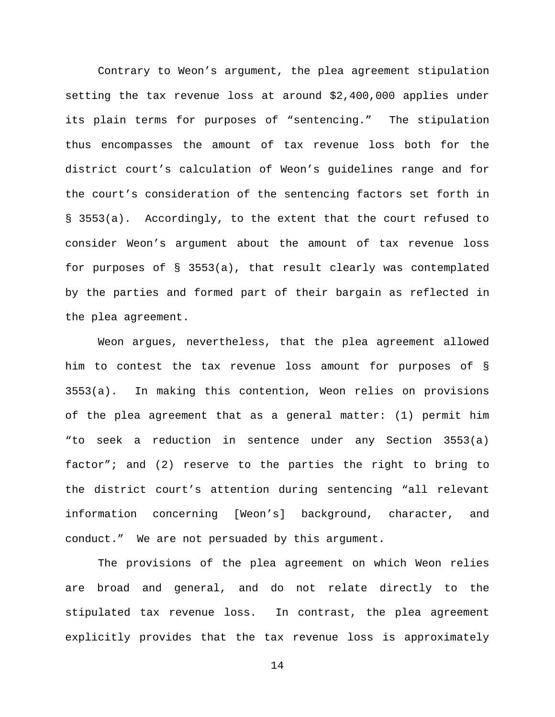Contrary to Weon's argument, the plea agreement stipulation setting the tax revenue loss at around \$2,400,000 applies under its plain terms for purposes of "sentencing." The stipulation thus encompasses the amount of tax revenue loss both for the district court's calculation of Weon's guidelines range and for the court's consideration of the sentencing factors set forth in § 3553(a). Accordingly, to the extent that the court refused to consider Weon's argument about the amount of tax revenue loss for purposes of § 3553(a), that result clearly was contemplated by the parties and formed part of their bargain as reflected in the plea agreement.

Weon argues, nevertheless, that the plea agreement allowed him to contest the tax revenue loss amount for purposes of § 3553(a). In making this contention, Weon relies on provisions of the plea agreement that as a general matter: (1) permit him "to seek a reduction in sentence under any Section 3553(a) factor"; and (2) reserve to the parties the right to bring to the district court's attention during sentencing "all relevant information concerning [Weon's] background, character, and conduct." We are not persuaded by this argument.

The provisions of the plea agreement on which Weon relies are broad and general, and do not relate directly to the stipulated tax revenue loss. In contrast, the plea agreement explicitly provides that the tax revenue loss is approximately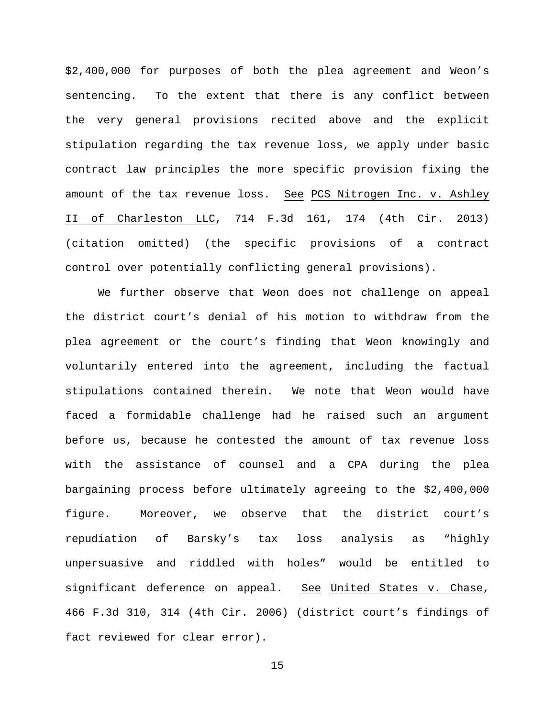\$2,400,000 for purposes of both the plea agreement and Weon's sentencing. To the extent that there is any conflict between the very general provisions recited above and the explicit stipulation regarding the tax revenue loss, we apply under basic contract law principles the more specific provision fixing the amount of the tax revenue loss. See PCS Nitrogen Inc. v. Ashley II of Charleston LLC, 714 F.3d 161, 174 (4th Cir. 2013) (citation omitted) (the specific provisions of a contract control over potentially conflicting general provisions).

We further observe that Weon does not challenge on appeal the district court's denial of his motion to withdraw from the plea agreement or the court's finding that Weon knowingly and voluntarily entered into the agreement, including the factual stipulations contained therein. We note that Weon would have faced a formidable challenge had he raised such an argument before us, because he contested the amount of tax revenue loss with the assistance of counsel and a CPA during the plea bargaining process before ultimately agreeing to the \$2,400,000 figure. Moreover, we observe that the district court's repudiation of Barsky's tax loss analysis as "highly unpersuasive and riddled with holes" would be entitled to significant deference on appeal. See United States v. Chase, 466 F.3d 310, 314 (4th Cir. 2006) (district court's findings of fact reviewed for clear error).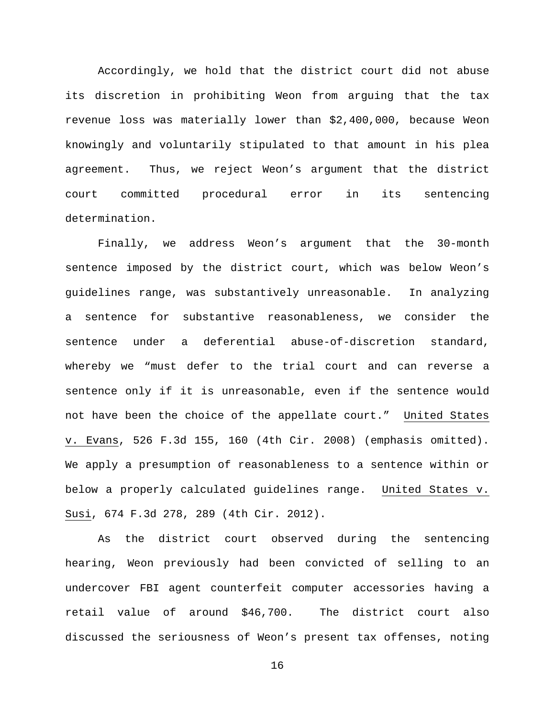Accordingly, we hold that the district court did not abuse its discretion in prohibiting Weon from arguing that the tax revenue loss was materially lower than \$2,400,000, because Weon knowingly and voluntarily stipulated to that amount in his plea agreement. Thus, we reject Weon's argument that the district court committed procedural error in its sentencing determination.

Finally, we address Weon's argument that the 30-month sentence imposed by the district court, which was below Weon's guidelines range, was substantively unreasonable. In analyzing a sentence for substantive reasonableness, we consider the sentence under a deferential abuse-of-discretion standard, whereby we "must defer to the trial court and can reverse a sentence only if it is unreasonable, even if the sentence would not have been the choice of the appellate court." United States v. Evans, 526 F.3d 155, 160 (4th Cir. 2008) (emphasis omitted). We apply a presumption of reasonableness to a sentence within or below a properly calculated guidelines range. United States v. Susi, 674 F.3d 278, 289 (4th Cir. 2012).

As the district court observed during the sentencing hearing, Weon previously had been convicted of selling to an undercover FBI agent counterfeit computer accessories having a retail value of around \$46,700. The district court also discussed the seriousness of Weon's present tax offenses, noting